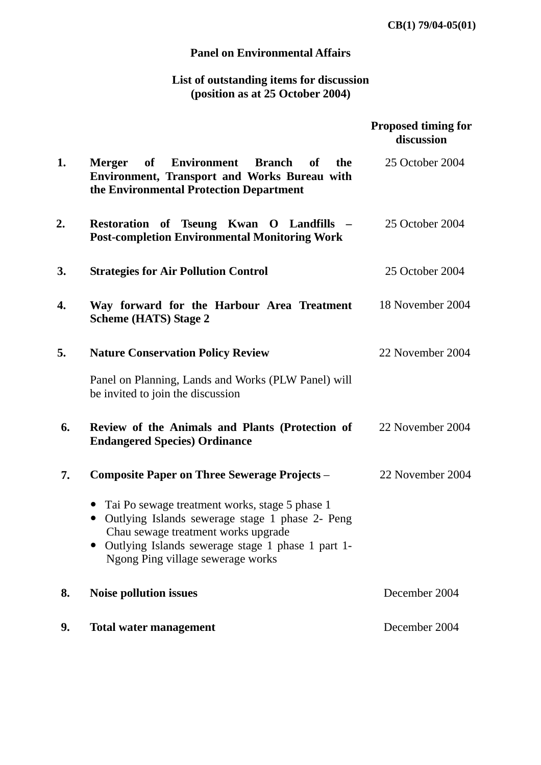**CB(1) 79/04-05(01)**

## **Panel on Environmental Affairs**

## **List of outstanding items for discussion (position as at 25 October 2004)**

|    |                                                                                                                                                                                                                                                 | <b>Proposed timing for</b><br>discussion |
|----|-------------------------------------------------------------------------------------------------------------------------------------------------------------------------------------------------------------------------------------------------|------------------------------------------|
| 1. | <b>of</b><br><b>Environment</b><br><b>Branch</b><br>of<br>the<br><b>Merger</b><br>Environment, Transport and Works Bureau with<br>the Environmental Protection Department                                                                       | 25 October 2004                          |
| 2. | Restoration of Tseung Kwan O Landfills -<br><b>Post-completion Environmental Monitoring Work</b>                                                                                                                                                | 25 October 2004                          |
| 3. | <b>Strategies for Air Pollution Control</b>                                                                                                                                                                                                     | 25 October 2004                          |
| 4. | Way forward for the Harbour Area Treatment<br><b>Scheme (HATS) Stage 2</b>                                                                                                                                                                      | 18 November 2004                         |
| 5. | <b>Nature Conservation Policy Review</b>                                                                                                                                                                                                        | 22 November 2004                         |
|    | Panel on Planning, Lands and Works (PLW Panel) will<br>be invited to join the discussion                                                                                                                                                        |                                          |
| 6. | Review of the Animals and Plants (Protection of<br><b>Endangered Species Ordinance</b>                                                                                                                                                          | 22 November 2004                         |
| 7. | <b>Composite Paper on Three Sewerage Projects –</b>                                                                                                                                                                                             | 22 November 2004                         |
|    | Tai Po sewage treatment works, stage 5 phase 1<br>Outlying Islands sewerage stage 1 phase 2- Peng<br>$\bullet$<br>Chau sewage treatment works upgrade<br>Outlying Islands sewerage stage 1 phase 1 part 1-<br>Ngong Ping village sewerage works |                                          |
| 8. | <b>Noise pollution issues</b>                                                                                                                                                                                                                   | December 2004                            |
| 9. | <b>Total water management</b>                                                                                                                                                                                                                   | December 2004                            |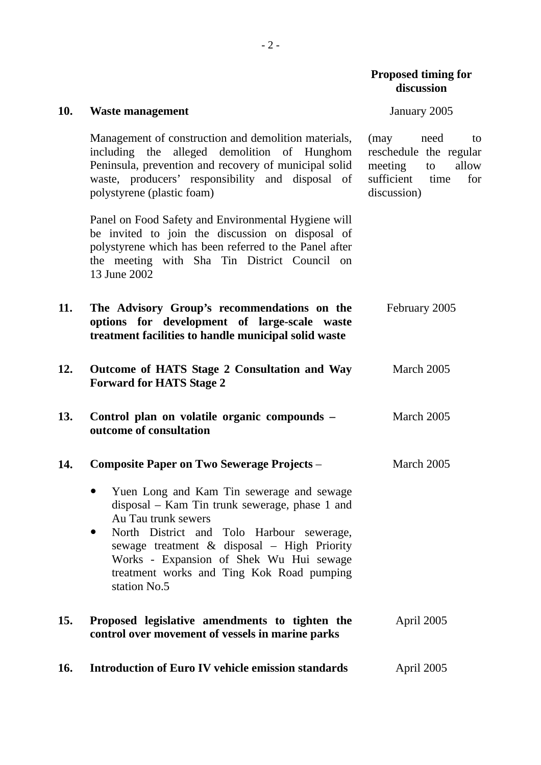| 10. | <b>Waste management</b>                                                                                                                                                                                                                                                                                                             | January 2005                                                                                                       |
|-----|-------------------------------------------------------------------------------------------------------------------------------------------------------------------------------------------------------------------------------------------------------------------------------------------------------------------------------------|--------------------------------------------------------------------------------------------------------------------|
|     | Management of construction and demolition materials,<br>including the alleged demolition of Hunghom<br>Peninsula, prevention and recovery of municipal solid<br>waste, producers' responsibility and disposal of<br>polystyrene (plastic foam)                                                                                      | (may<br>need<br>to<br>reschedule the regular<br>meeting<br>allow<br>to<br>sufficient<br>time<br>for<br>discussion) |
|     | Panel on Food Safety and Environmental Hygiene will<br>be invited to join the discussion on disposal of<br>polystyrene which has been referred to the Panel after<br>the meeting with Sha Tin District Council on<br>13 June 2002                                                                                                   |                                                                                                                    |
| 11. | The Advisory Group's recommendations on the<br>options for development of large-scale waste<br>treatment facilities to handle municipal solid waste                                                                                                                                                                                 | February 2005                                                                                                      |
| 12. | Outcome of HATS Stage 2 Consultation and Way<br><b>Forward for HATS Stage 2</b>                                                                                                                                                                                                                                                     | March 2005                                                                                                         |
| 13. | Control plan on volatile organic compounds -<br>outcome of consultation                                                                                                                                                                                                                                                             | March 2005                                                                                                         |
| 14. | <b>Composite Paper on Two Sewerage Projects -</b>                                                                                                                                                                                                                                                                                   | March 2005                                                                                                         |
|     | Yuen Long and Kam Tin sewerage and sewage<br>disposal – Kam Tin trunk sewerage, phase 1 and<br>Au Tau trunk sewers<br>North District and Tolo Harbour sewerage,<br>$\bullet$<br>sewage treatment & disposal - High Priority<br>Works - Expansion of Shek Wu Hui sewage<br>treatment works and Ting Kok Road pumping<br>station No.5 |                                                                                                                    |
| 15. | Proposed legislative amendments to tighten the<br>control over movement of vessels in marine parks                                                                                                                                                                                                                                  | April 2005                                                                                                         |
| 16. | <b>Introduction of Euro IV vehicle emission standards</b>                                                                                                                                                                                                                                                                           | April 2005                                                                                                         |